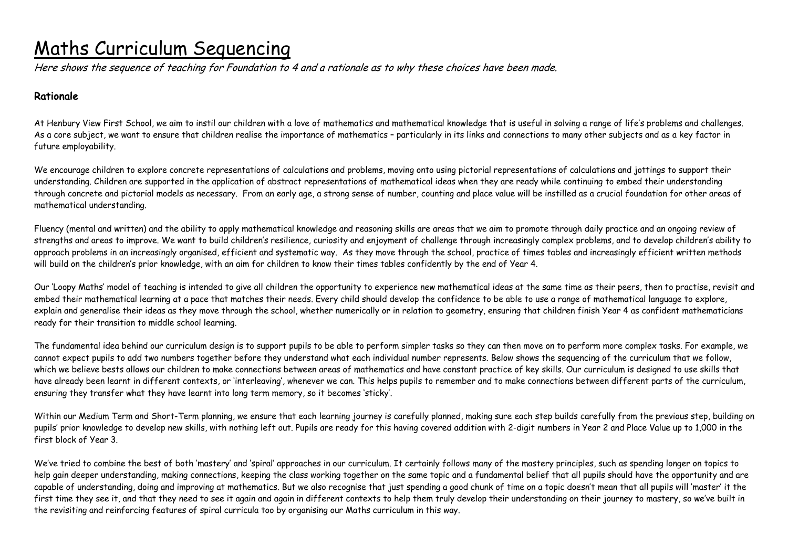# Maths Curriculum Sequencing

Here shows the sequence of teaching for Foundation to 4 and a rationale as to why these choices have been made.

### Rationale

At Henbury View First School, we aim to instil our children with a love of mathematics and mathematical knowledge that is useful in solving a range of life's problems and challenges. As a core subject, we want to ensure that children realise the importance of mathematics - particularly in its links and connections to many other subjects and as a key factor in future employability.

We encourage children to explore concrete representations of calculations and problems, moving onto using pictorial representations of calculations and jottings to support their understanding. Children are supported in the application of abstract representations of mathematical ideas when they are ready while continuing to embed their understanding through concrete and pictorial models as necessary. From an early age, a strong sense of number, counting and place value will be instilled as a crucial foundation for other areas of mathematical understanding.

Fluency (mental and written) and the ability to apply mathematical knowledge and reasoning skills are areas that we aim to promote through daily practice and an ongoing review of strengths and areas to improve. We want to build children's resilience, curiosity and enjoyment of challenge through increasingly complex problems, and to develop children's ability to approach problems in an increasingly organised, efficient and systematic way. As they move through the school, practice of times tables and increasingly efficient written methods will build on the children's prior knowledge, with an aim for children to know their times tables confidently by the end of Year 4.

Our 'Loopy Maths' model of teaching is intended to give all children the opportunity to experience new mathematical ideas at the same time as their peers, then to practise, revisit and embed their mathematical learning at a pace that matches their needs. Every child should develop the confidence to be able to use a range of mathematical language to explore, explain and generalise their ideas as they move through the school, whether numerically or in relation to geometry, ensuring that children finish Year 4 as confident mathematicians ready for their transition to middle school learning.

The fundamental idea behind our curriculum design is to support pupils to be able to perform simpler tasks so they can then move on to perform more complex tasks. For example, we cannot expect pupils to add two numbers together before they understand what each individual number represents. Below shows the sequencing of the curriculum that we follow, which we believe bests allows our children to make connections between areas of mathematics and have constant practice of key skills. Our curriculum is designed to use skills that have already been learnt in different contexts, or 'interleaving', whenever we can. This helps pupils to remember and to make connections between different parts of the curriculum, ensuring they transfer what they have learnt into long term memory, so it becomes 'sticky'.

Within our Medium Term and Short-Term planning, we ensure that each learning journey is carefully planned, making sure each step builds carefully from the previous step, building on pupils' prior knowledge to develop new skills, with nothing left out. Pupils are ready for this having covered addition with 2-digit numbers in Year 2 and Place Value up to 1,000 in the first block of Year 3.

We've tried to combine the best of both 'mastery' and 'spiral' approaches in our curriculum. It certainly follows many of the mastery principles, such as spending longer on topics to help gain deeper understanding, making connections, keeping the class working together on the same topic and a fundamental belief that all pupils should have the opportunity and are capable of understanding, doing and improving at mathematics. But we also recognise that just spending a good chunk of time on a topic doesn't mean that all pupils will 'master' it the first time they see it, and that they need to see it again and again in different contexts to help them truly develop their understanding on their journey to mastery, so we've built in the revisiting and reinforcing features of spiral curricula too by organising our Maths curriculum in this way.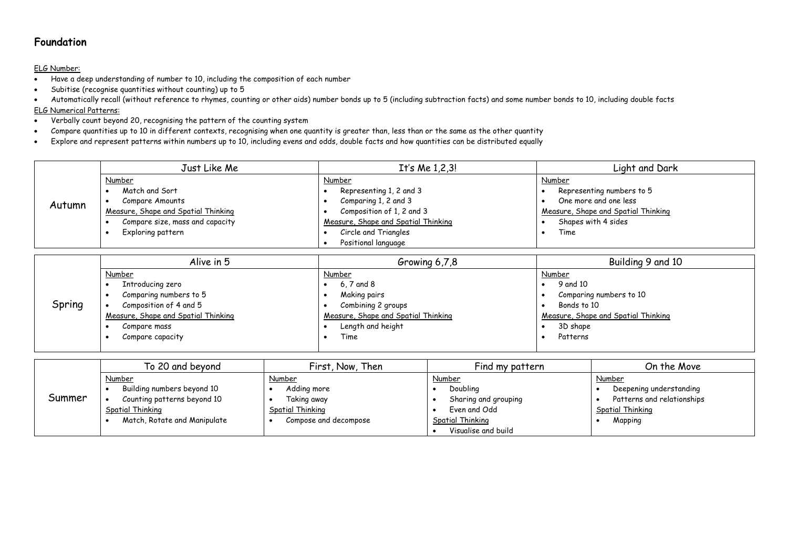### Foundation

#### ELG Number:

- Have a deep understanding of number to 10, including the composition of each number
- Subitise (recognise quantities without counting) up to 5
- Automatically recall (without reference to rhymes, counting or other aids) number bonds up to 5 (including subtraction facts) and some number bonds to 10, including double facts ELG Numerical Patterns:
- Verbally count beyond 20, recognising the pattern of the counting system
- Compare quantities up to 10 in different contexts, recognising when one quantity is greater than, less than or the same as the other quantity
- Explore and represent patterns within numbers up to 10, including evens and odds, double facts and how quantities can be distributed equally

|        | Just Like Me                        | It's Me $1,2,3!$                    | Light and Dark                      |
|--------|-------------------------------------|-------------------------------------|-------------------------------------|
|        | Number                              | Number                              | Number                              |
|        | Match and Sort                      | Representing 1, 2 and 3             | Representing numbers to 5           |
| Autumn | Compare Amounts                     | Comparing 1, 2 and 3                | One more and one less               |
|        | Measure, Shape and Spatial Thinking | Composition of 1, 2 and 3           | Measure, Shape and Spatial Thinking |
|        | Compare size, mass and capacity     | Measure, Shape and Spatial Thinking | Shapes with 4 sides                 |
|        | Exploring pattern                   | Circle and Triangles                | Time                                |
|        |                                     | Positional language                 |                                     |

|        | Alive in 5                          | Growing 6,7,8                       | Building 9 and 10                   |
|--------|-------------------------------------|-------------------------------------|-------------------------------------|
|        | <b>Number</b>                       | Number                              | <b>Number</b>                       |
|        | Introducing zero                    | $6.7$ and $8$                       | 9 and 10                            |
|        | Comparing numbers to 5              | Making pairs                        | Comparing numbers to 10             |
| Spring | Composition of 4 and 5              | Combining 2 groups                  | Bonds to 10                         |
|        | Measure, Shape and Spatial Thinking | Measure, Shape and Spatial Thinking | Measure, Shape and Spatial Thinking |
|        | Compare mass                        | Length and height                   | 3D shape                            |
|        | Compare capacity                    | Time                                | Patterns                            |
|        |                                     |                                     |                                     |

|        | To 20 and beyond                                                                                                               | First, Now, Then                                                                         | Find my pattern                                                                                       | On the Move                                                                                    |
|--------|--------------------------------------------------------------------------------------------------------------------------------|------------------------------------------------------------------------------------------|-------------------------------------------------------------------------------------------------------|------------------------------------------------------------------------------------------------|
| Summer | Number<br>Building numbers beyond 10<br>Counting patterns beyond 10<br><b>Spatial Thinking</b><br>Match, Rotate and Manipulate | Number<br>Adding more<br>Taking away<br><b>Spatial Thinking</b><br>Compose and decompose | Number<br>Doubling<br>Sharing and grouping<br>Even and Odd<br>Spatial Thinking<br>Visualise and build | Number<br>Deepening understanding<br>Patterns and relationships<br>Spatial Thinking<br>Mapping |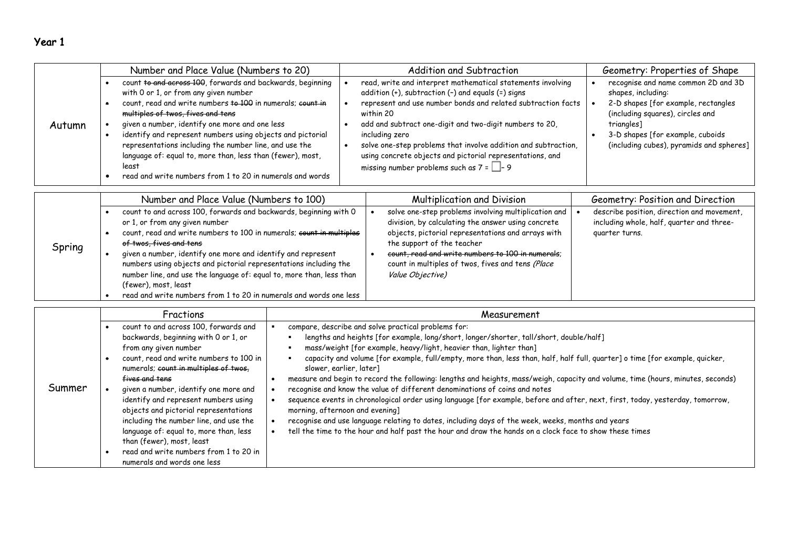# Year 1

|        | Number and Place Value (Numbers to 20)                                                                                                                                                                                                                                                                                                                                                                                                                                                                               | Addition and Subtraction                                                                                                                                                                                                                                                                                                                                                                                                                                     | Geometry: Properties of Shape                                                                                                                                                                                                      |
|--------|----------------------------------------------------------------------------------------------------------------------------------------------------------------------------------------------------------------------------------------------------------------------------------------------------------------------------------------------------------------------------------------------------------------------------------------------------------------------------------------------------------------------|--------------------------------------------------------------------------------------------------------------------------------------------------------------------------------------------------------------------------------------------------------------------------------------------------------------------------------------------------------------------------------------------------------------------------------------------------------------|------------------------------------------------------------------------------------------------------------------------------------------------------------------------------------------------------------------------------------|
| Autumn | count to and across 100, forwards and backwards, beginning<br>with 0 or 1, or from any given number<br>count, read and write numbers to 100 in numerals; count in<br>multiples of twos, fives and tens<br>given a number, identify one more and one less<br>identify and represent numbers using objects and pictorial<br>representations including the number line, and use the<br>language of: equal to, more than, less than (fewer), most,<br>least<br>read and write numbers from 1 to 20 in numerals and words | read, write and interpret mathematical statements involving<br>addition (+), subtraction (-) and equals (=) signs<br>represent and use number bonds and related subtraction facts<br>within 20<br>add and subtract one-digit and two-digit numbers to 20,<br>including zero<br>solve one-step problems that involve addition and subtraction,<br>using concrete objects and pictorial representations, and<br>missing number problems such as $7 = \Box - 9$ | recognise and name common 2D and 3D<br>shapes, including:<br>2-D shapes [for example, rectangles<br>(including squares), circles and<br>triangles]<br>3-D shapes [for example, cuboids<br>(including cubes), pyramids and spheres] |
|        |                                                                                                                                                                                                                                                                                                                                                                                                                                                                                                                      |                                                                                                                                                                                                                                                                                                                                                                                                                                                              |                                                                                                                                                                                                                                    |

|        | Number and Place Value (Numbers to 100)                                                                                                                                                                                                                                                                                                                                                                                                                                                                           | <b>Multiplication and Division</b>                                                                                                                                                                                                                                                                                           | Geometry: Position and Direction                                                                          |
|--------|-------------------------------------------------------------------------------------------------------------------------------------------------------------------------------------------------------------------------------------------------------------------------------------------------------------------------------------------------------------------------------------------------------------------------------------------------------------------------------------------------------------------|------------------------------------------------------------------------------------------------------------------------------------------------------------------------------------------------------------------------------------------------------------------------------------------------------------------------------|-----------------------------------------------------------------------------------------------------------|
| Spring | count to and across 100, forwards and backwards, beginning with 0<br>or 1, or from any given number<br>count, read and write numbers to 100 in numerals; count in multiples<br>of twos, fives and tens<br>given a number, identify one more and identify and represent<br>numbers using objects and pictorial representations including the<br>number line, and use the language of: equal to, more than, less than<br>(fewer), most, least<br>read and write numbers from 1 to 20 in numerals and words one less | solve one-step problems involving multiplication and<br>division, by calculating the answer using concrete<br>objects, pictorial representations and arrays with<br>the support of the teacher<br>count, read and write numbers to 100 in numerals;<br>count in multiples of twos, fives and tens (Place<br>Value Objective) | describe position, direction and movement,<br>including whole, half, quarter and three-<br>quarter turns. |

|        | Fractions                                                                                                                                                                                                                                                                                                                                                                                                                                                                                                                        | Measurement                                                                                                                                                                                                                                                                                                                                                                                                                                                                                                                                                                                                                                                                                                                                                                                                                                                                                                                                                                         |
|--------|----------------------------------------------------------------------------------------------------------------------------------------------------------------------------------------------------------------------------------------------------------------------------------------------------------------------------------------------------------------------------------------------------------------------------------------------------------------------------------------------------------------------------------|-------------------------------------------------------------------------------------------------------------------------------------------------------------------------------------------------------------------------------------------------------------------------------------------------------------------------------------------------------------------------------------------------------------------------------------------------------------------------------------------------------------------------------------------------------------------------------------------------------------------------------------------------------------------------------------------------------------------------------------------------------------------------------------------------------------------------------------------------------------------------------------------------------------------------------------------------------------------------------------|
| Summer | count to and across 100, forwards and<br>backwards, beginning with 0 or 1, or<br>from any given number<br>count, read and write numbers to 100 in<br>numerals; count in multiples of twos,<br>fives and tens<br>given a number, identify one more and<br>identify and represent numbers using<br>objects and pictorial representations<br>including the number line, and use the<br>language of: equal to, more than, less<br>than (fewer), most, least<br>read and write numbers from 1 to 20 in<br>numerals and words one less | compare, describe and solve practical problems for:<br>lengths and heights [for example, long/short, longer/shorter, tall/short, double/half]<br>mass/weight [for example, heavy/light, heavier than, lighter than]<br>capacity and volume [for example, full/empty, more than, less than, half, half full, quarter] o time [for example, quicker,<br>slower, earlier, later]<br>measure and begin to record the following: lengths and heights, mass/weigh, capacity and volume, time (hours, minutes, seconds)<br>recognise and know the value of different denominations of coins and notes<br>sequence events in chronological order using language [for example, before and after, next, first, today, yesterday, tomorrow,<br>morning, afternoon and evening]<br>recognise and use language relating to dates, including days of the week, weeks, months and years<br>tell the time to the hour and half past the hour and draw the hands on a clock face to show these times |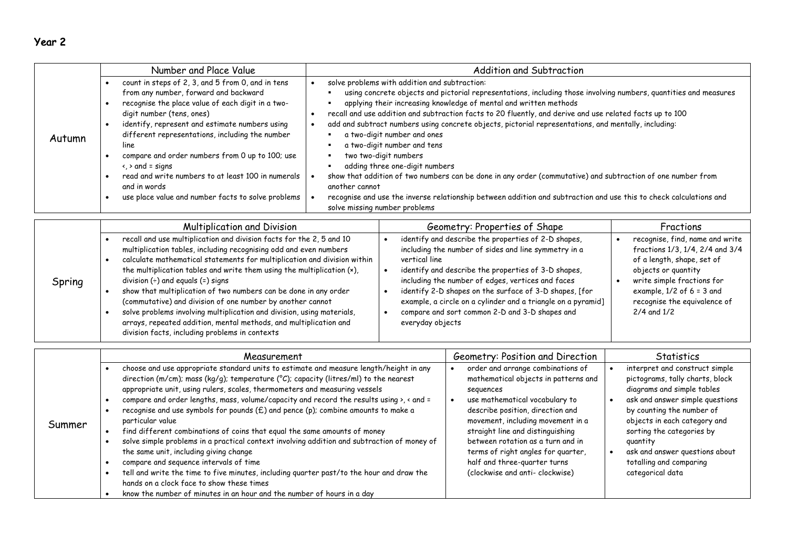| п<br>u |  |
|--------|--|
|--------|--|

|        | Number and Place Value                                                                                                                                                                                                                                                                                                                                                                                                                                                                                                 | Addition and Subtraction                                                                                                                                                                                                                                                                                                                                                                                                                                                                                                                                                                                                                                                                                                                                                                                                                                                         |
|--------|------------------------------------------------------------------------------------------------------------------------------------------------------------------------------------------------------------------------------------------------------------------------------------------------------------------------------------------------------------------------------------------------------------------------------------------------------------------------------------------------------------------------|----------------------------------------------------------------------------------------------------------------------------------------------------------------------------------------------------------------------------------------------------------------------------------------------------------------------------------------------------------------------------------------------------------------------------------------------------------------------------------------------------------------------------------------------------------------------------------------------------------------------------------------------------------------------------------------------------------------------------------------------------------------------------------------------------------------------------------------------------------------------------------|
| Autumn | count in steps of 2, 3, and 5 from 0, and in tens<br>from any number, forward and backward<br>recognise the place value of each digit in a two-<br>digit number (tens, ones)<br>identify, represent and estimate numbers using<br>$\bullet$<br>different representations, including the number<br>line<br>compare and order numbers from 0 up to 100; use<br>$\langle \rangle$ and = signs<br>read and write numbers to at least 100 in numerals<br>and in words<br>use place value and number facts to solve problems | solve problems with addition and subtraction:<br>using concrete objects and pictorial representations, including those involving numbers, quantities and measures<br>applying their increasing knowledge of mental and written methods<br>recall and use addition and subtraction facts to 20 fluently, and derive and use related facts up to 100<br>add and subtract numbers using concrete objects, pictorial representations, and mentally, including:<br>a two-digit number and ones<br>a two-digit number and tens<br>two two-digit numbers<br>٠<br>adding three one-digit numbers<br>show that addition of two numbers can be done in any order (commutative) and subtraction of one number from<br>another cannot<br>recognise and use the inverse relationship between addition and subtraction and use this to check calculations and<br>solve missing number problems |

|        | <b>Multiplication and Division</b>                                                                                                                                                                                                                                                                                                                                                                                                                                                                                                                                                                                                                                          | Geometry: Properties of Shape                                                                                                                                                                                                                                                                                                                                                                                                            | Fractions                                                                                                                                                                                                                               |
|--------|-----------------------------------------------------------------------------------------------------------------------------------------------------------------------------------------------------------------------------------------------------------------------------------------------------------------------------------------------------------------------------------------------------------------------------------------------------------------------------------------------------------------------------------------------------------------------------------------------------------------------------------------------------------------------------|------------------------------------------------------------------------------------------------------------------------------------------------------------------------------------------------------------------------------------------------------------------------------------------------------------------------------------------------------------------------------------------------------------------------------------------|-----------------------------------------------------------------------------------------------------------------------------------------------------------------------------------------------------------------------------------------|
| Spring | recall and use multiplication and division facts for the 2, 5 and 10<br>multiplication tables, including recognising odd and even numbers<br>calculate mathematical statements for multiplication and division within<br>the multiplication tables and write them using the multiplication (x),<br>division $(+)$ and equals $(=)$ signs<br>show that multiplication of two numbers can be done in any order<br>(commutative) and division of one number by another cannot<br>solve problems involving multiplication and division, using materials,<br>arrays, repeated addition, mental methods, and multiplication and<br>division facts, including problems in contexts | identify and describe the properties of 2-D shapes,<br>including the number of sides and line symmetry in a<br>vertical line<br>identify and describe the properties of 3-D shapes,<br>including the number of edges, vertices and faces<br>identify 2-D shapes on the surface of 3-D shapes, [for<br>example, a circle on a cylinder and a triangle on a pyramid]<br>compare and sort common 2-D and 3-D shapes and<br>everyday objects | recognise, find, name and write<br>fractions 1/3, 1/4, 2/4 and 3/4<br>of a length, shape, set of<br>objects or quantity<br>write simple fractions for<br>example, $1/2$ of 6 = 3 and<br>recognise the equivalence of<br>$2/4$ and $1/2$ |

|        | Measurement                                                                                                                                                                                                                                                                                                                                                                                                                                                                                                                                                                                                                                                                                                                                                                                                                                                                                                                                                              | Geometry: Position and Direction                                                                                                                                                                                                                                                                                                                                                    | Statistics                                                                                                                                                                                                                                                                                                                |
|--------|--------------------------------------------------------------------------------------------------------------------------------------------------------------------------------------------------------------------------------------------------------------------------------------------------------------------------------------------------------------------------------------------------------------------------------------------------------------------------------------------------------------------------------------------------------------------------------------------------------------------------------------------------------------------------------------------------------------------------------------------------------------------------------------------------------------------------------------------------------------------------------------------------------------------------------------------------------------------------|-------------------------------------------------------------------------------------------------------------------------------------------------------------------------------------------------------------------------------------------------------------------------------------------------------------------------------------------------------------------------------------|---------------------------------------------------------------------------------------------------------------------------------------------------------------------------------------------------------------------------------------------------------------------------------------------------------------------------|
| Summer | choose and use appropriate standard units to estimate and measure length/height in any<br>direction (m/cm); mass (kg/g); temperature ( $^{\circ}$ C); capacity (litres/ml) to the nearest<br>appropriate unit, using rulers, scales, thermometers and measuring vessels<br>compare and order lengths, mass, volume/capacity and record the results using $\lambda$ , < and =<br>recognise and use symbols for pounds (£) and pence (p); combine amounts to make a<br>particular value<br>find different combinations of coins that equal the same amounts of money<br>solve simple problems in a practical context involving addition and subtraction of money of<br>the same unit, including giving change<br>compare and sequence intervals of time<br>tell and write the time to five minutes, including quarter past/to the hour and draw the<br>hands on a clock face to show these times<br>know the number of minutes in an hour and the number of hours in a day | order and arrange combinations of<br>mathematical objects in patterns and<br>sequences<br>use mathematical vocabulary to<br>describe position, direction and<br>movement, including movement in a<br>straight line and distinguishing<br>between rotation as a turn and in<br>terms of right angles for quarter,<br>half and three-quarter turns<br>(clockwise and anti- clockwise) | interpret and construct simple<br>pictograms, tally charts, block<br>diagrams and simple tables<br>ask and answer simple questions<br>by counting the number of<br>objects in each category and<br>sorting the categories by<br>quantity<br>ask and answer questions about<br>totalling and comparing<br>categorical data |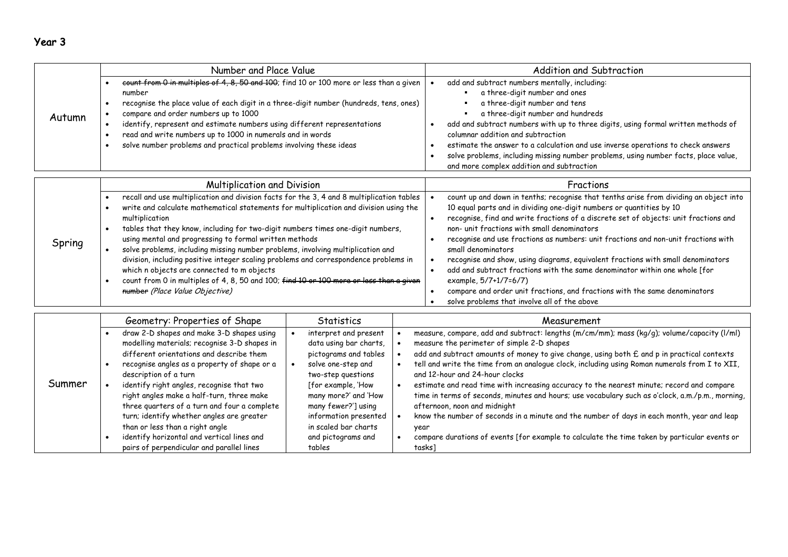# Year 3

|        | Number and Place Value                                                                                                                                                                                                                                                                                                                                                                                                                              | Addition and Subtraction                                                                                                                                                                                                                                                                                                                                                                                                                                                                               |
|--------|-----------------------------------------------------------------------------------------------------------------------------------------------------------------------------------------------------------------------------------------------------------------------------------------------------------------------------------------------------------------------------------------------------------------------------------------------------|--------------------------------------------------------------------------------------------------------------------------------------------------------------------------------------------------------------------------------------------------------------------------------------------------------------------------------------------------------------------------------------------------------------------------------------------------------------------------------------------------------|
| Autumn | eount from 0 in multiples of 4, 8, 50 and 100; find 10 or 100 more or less than a given<br>number<br>recognise the place value of each digit in a three-digit number (hundreds, tens, ones)<br>compare and order numbers up to 1000<br>identify, represent and estimate numbers using different representations<br>read and write numbers up to 1000 in numerals and in words<br>solve number problems and practical problems involving these ideas | add and subtract numbers mentally, including:<br>a three-digit number and ones<br>a three-digit number and tens<br>a three-digit number and hundreds<br>add and subtract numbers with up to three digits, using formal written methods of<br>columnar addition and subtraction<br>estimate the answer to a calculation and use inverse operations to check answers<br>solve problems, including missing number problems, using number facts, place value,<br>and more complex addition and subtraction |

|        | <b>Multiplication and Division</b>                                                        | Fractions                                                                             |
|--------|-------------------------------------------------------------------------------------------|---------------------------------------------------------------------------------------|
|        | recall and use multiplication and division facts for the 3, 4 and 8 multiplication tables | count up and down in tenths; recognise that tenths arise from dividing an object into |
|        | write and calculate mathematical statements for multiplication and division using the     | 10 equal parts and in dividing one-digit numbers or quantities by 10                  |
|        | multiplication                                                                            | recognise, find and write fractions of a discrete set of objects: unit fractions and  |
|        | tables that they know, including for two-digit numbers times one-digit numbers,           | non- unit fractions with small denominators                                           |
| Spring | using mental and progressing to formal written methods                                    | recognise and use fractions as numbers: unit fractions and non-unit fractions with    |
|        | solve problems, including missing number problems, involving multiplication and           | small denominators                                                                    |
|        | division, including positive integer scaling problems and correspondence problems in      | recognise and show, using diagrams, equivalent fractions with small denominators      |
|        | which n objects are connected to m objects                                                | add and subtract fractions with the same denominator within one whole [for            |
|        | count from 0 in multiples of 4, 8, 50 and 100; find 10 or 100 more or less than a given   | example, 5/7+1/7=6/7)                                                                 |
|        | number (Place Value Objective)                                                            | compare and order unit fractions, and fractions with the same denominators            |
|        |                                                                                           | solve problems that involve all of the above                                          |

|        | Geometry: Properties of Shape                | <b>Statistics</b>      | Measurement                                                                                      |
|--------|----------------------------------------------|------------------------|--------------------------------------------------------------------------------------------------|
| Summer | draw 2-D shapes and make 3-D shapes using    | interpret and present  | measure, compare, add and subtract: lengths (m/cm/mm); mass (kg/g); volume/capacity (l/ml)       |
|        | modelling materials; recognise 3-D shapes in | data using bar charts, | measure the perimeter of simple 2-D shapes                                                       |
|        | different orientations and describe them     | pictograms and tables  | add and subtract amounts of money to give change, using both $E$ and p in practical contexts     |
|        | recognise angles as a property of shape or a | solve one-step and     | tell and write the time from an analogue clock, including using Roman numerals from I to XII,    |
|        | description of a turn                        | two-step questions     | and 12-hour and 24-hour clocks                                                                   |
|        | identify right angles, recognise that two    | [for example, 'How     | estimate and read time with increasing accuracy to the nearest minute; record and compare        |
|        | right angles make a half-turn, three make    | many more?' and 'How   | time in terms of seconds, minutes and hours; use vocabulary such as o'clock, a.m./p.m., morning, |
|        | three quarters of a turn and four a complete | many fewer?'] using    | afternoon, noon and midnight                                                                     |
|        | turn; identify whether angles are greater    | information presented  | know the number of seconds in a minute and the number of days in each month, year and leap       |
|        | than or less than a right angle              | in scaled bar charts   | year                                                                                             |
|        | identify horizontal and vertical lines and   | and pictograms and     | compare durations of events [for example to calculate the time taken by particular events or     |
|        | pairs of perpendicular and parallel lines    | tables                 | tasks]                                                                                           |